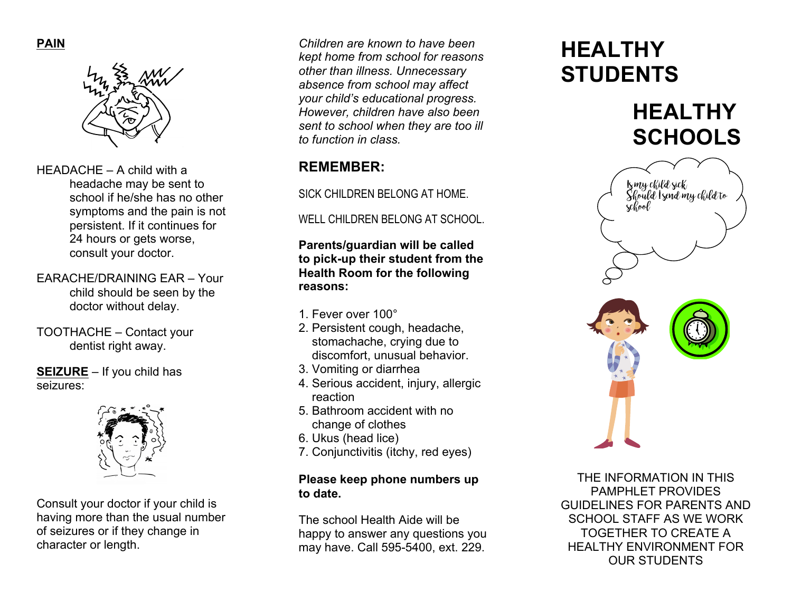

- HEADACHE A child with a headache may be sent to school if he/she has no other symptoms and the pain is not persistent. If it continues for 24 hours or gets worse, consult your doctor.
- EARACHE/DRAINING EAR Your child should be seen by the doctor without delay.
- TOOTHACHE Contact your dentist right away.

**SEIZURE** – If you child has seizures:



Consult your doctor if your child is having more than the usual number of seizures or if they change in character or length.

*Children are known to have been kept home from school for reasons other than illness. Unnecessary absence from school may affect your child's educational progress. However, children have also been sent to school when they are too ill to function in class.*

# **REMEMBER:**

SICK CHILDREN BELONG AT HOME.

WELL CHILDREN BELONG AT SCHOOL.

**Parents/guardian will be called to pick -up their student from the Health Room for the following reasons:**

- 1. Fever over 100°
- 2. Persistent cough, headache, stomachache, crying due to discomfort, unusual behavior.
- 3. Vomiting or diarrhea
- 4. Serious accident, injury, allergic reaction
- 5. Bathroom accident with no change of clothes
- 6. Ukus (head lice)
- 7. Conjunctivitis (itchy, red eyes)

## **Please keep phone numbers up to date.**

The school Health Aide will be happy to answer any questions you may have. Call 595 -5400, ext. 229.

# **HEALTHY STUDENTS**

**HEALTHY SCHOOLS**



THE INFORMATION IN THIS PAMPHI FT PROVIDES GUIDELINES FOR PARENTS AND SCHOOL STAFF AS WE WORK TOGETHER TO CREATE A HEALTHY ENVIRONMENT FOR OUR STUDENTS